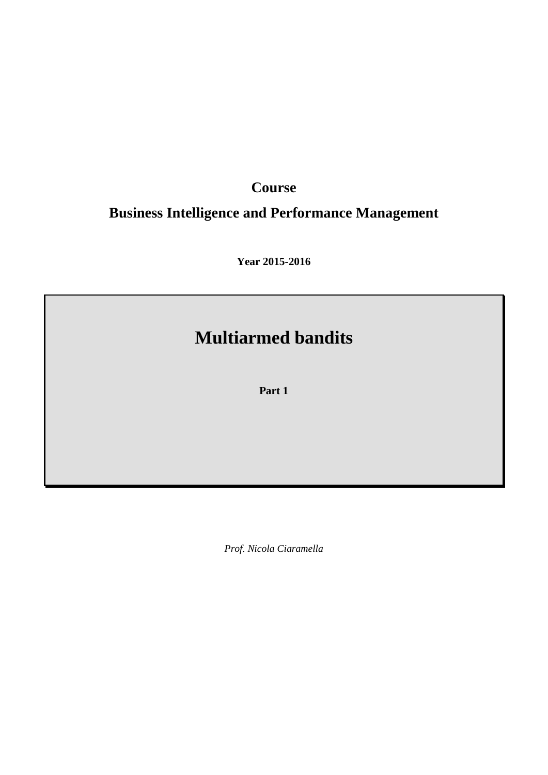# **Course**

# **Business Intelligence and Performance Management**

**Year 2015-2016**

# **Multiarmed bandits**

**Part 1**

*Prof. Nicola Ciaramella*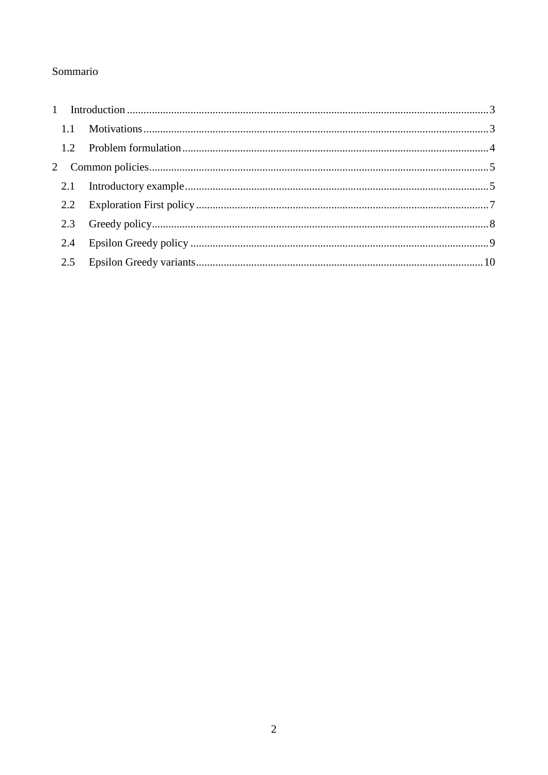## Sommario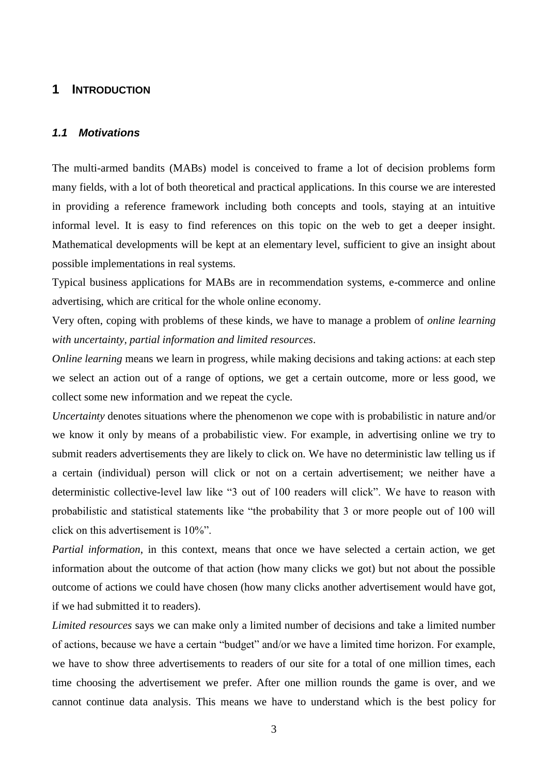## <span id="page-2-0"></span>**1 INTRODUCTION**

#### <span id="page-2-1"></span>*1.1 Motivations*

The multi-armed bandits (MABs) model is conceived to frame a lot of decision problems form many fields, with a lot of both theoretical and practical applications. In this course we are interested in providing a reference framework including both concepts and tools, staying at an intuitive informal level. It is easy to find references on this topic on the web to get a deeper insight. Mathematical developments will be kept at an elementary level, sufficient to give an insight about possible implementations in real systems.

Typical business applications for MABs are in recommendation systems, e-commerce and online advertising, which are critical for the whole online economy.

Very often, coping with problems of these kinds, we have to manage a problem of *online learning with uncertainty, partial information and limited resources*.

*Online learning* means we learn in progress, while making decisions and taking actions: at each step we select an action out of a range of options, we get a certain outcome, more or less good, we collect some new information and we repeat the cycle.

*Uncertainty* denotes situations where the phenomenon we cope with is probabilistic in nature and/or we know it only by means of a probabilistic view. For example, in advertising online we try to submit readers advertisements they are likely to click on. We have no deterministic law telling us if a certain (individual) person will click or not on a certain advertisement; we neither have a deterministic collective-level law like "3 out of 100 readers will click". We have to reason with probabilistic and statistical statements like "the probability that 3 or more people out of 100 will click on this advertisement is 10%".

*Partial information*, in this context, means that once we have selected a certain action, we get information about the outcome of that action (how many clicks we got) but not about the possible outcome of actions we could have chosen (how many clicks another advertisement would have got, if we had submitted it to readers).

*Limited resources* says we can make only a limited number of decisions and take a limited number of actions, because we have a certain "budget" and/or we have a limited time horizon. For example, we have to show three advertisements to readers of our site for a total of one million times, each time choosing the advertisement we prefer. After one million rounds the game is over, and we cannot continue data analysis. This means we have to understand which is the best policy for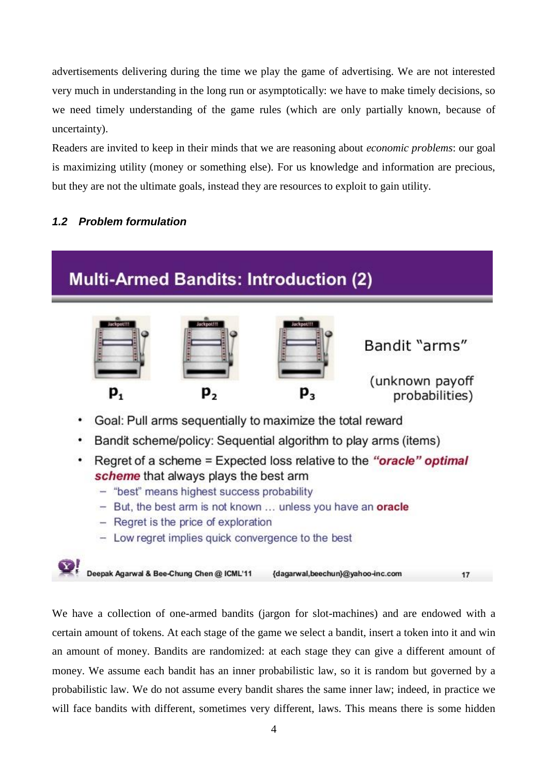advertisements delivering during the time we play the game of advertising. We are not interested very much in understanding in the long run or asymptotically: we have to make timely decisions, so we need timely understanding of the game rules (which are only partially known, because of uncertainty).

Readers are invited to keep in their minds that we are reasoning about *economic problems*: our goal is maximizing utility (money or something else). For us knowledge and information are precious, but they are not the ultimate goals, instead they are resources to exploit to gain utility.

## <span id="page-3-0"></span>*1.2 Problem formulation*

# **Multi-Armed Bandits: Introduction (2)**



- Goal: Pull arms sequentially to maximize the total reward
- Bandit scheme/policy: Sequential algorithm to play arms (items)
- Regret of a scheme = Expected loss relative to the "oracle" optimal scheme that always plays the best arm
	- "best" means highest success probability
	- $-$  But, the best arm is not known ... unless you have an oracle
	- Regret is the price of exploration
	- Low regret implies quick convergence to the best

Deepak Agarwal & Bee-Chung Chen @ ICML'11 {dagarwal,beechun}@yahoo-inc.com  $17$ 

We have a collection of one-armed bandits (jargon for slot-machines) and are endowed with a certain amount of tokens. At each stage of the game we select a bandit, insert a token into it and win an amount of money. Bandits are randomized: at each stage they can give a different amount of money. We assume each bandit has an inner probabilistic law, so it is random but governed by a probabilistic law. We do not assume every bandit shares the same inner law; indeed, in practice we will face bandits with different, sometimes very different, laws. This means there is some hidden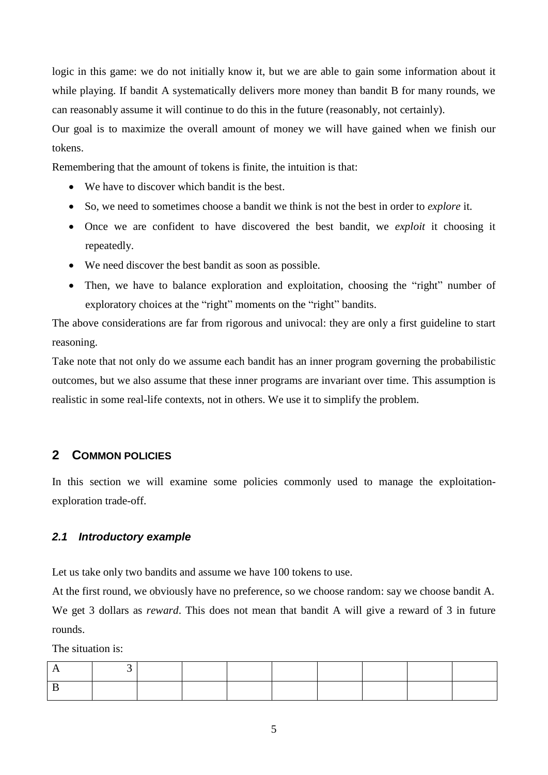logic in this game: we do not initially know it, but we are able to gain some information about it while playing. If bandit A systematically delivers more money than bandit B for many rounds, we can reasonably assume it will continue to do this in the future (reasonably, not certainly).

Our goal is to maximize the overall amount of money we will have gained when we finish our tokens.

Remembering that the amount of tokens is finite, the intuition is that:

- We have to discover which bandit is the best.
- So, we need to sometimes choose a bandit we think is not the best in order to *explore* it.
- Once we are confident to have discovered the best bandit, we *exploit* it choosing it repeatedly.
- We need discover the best bandit as soon as possible.
- Then, we have to balance exploration and exploitation, choosing the "right" number of exploratory choices at the "right" moments on the "right" bandits.

The above considerations are far from rigorous and univocal: they are only a first guideline to start reasoning.

Take note that not only do we assume each bandit has an inner program governing the probabilistic outcomes, but we also assume that these inner programs are invariant over time. This assumption is realistic in some real-life contexts, not in others. We use it to simplify the problem.

## <span id="page-4-0"></span>**2 COMMON POLICIES**

In this section we will examine some policies commonly used to manage the exploitationexploration trade-off.

#### <span id="page-4-1"></span>*2.1 Introductory example*

Let us take only two bandits and assume we have 100 tokens to use.

At the first round, we obviously have no preference, so we choose random: say we choose bandit A. We get 3 dollars as *reward*. This does not mean that bandit A will give a reward of 3 in future rounds.

The situation is: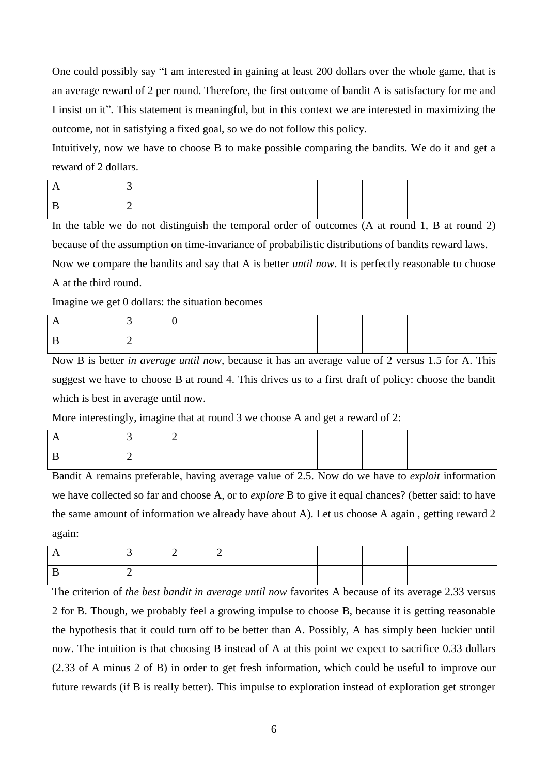One could possibly say "I am interested in gaining at least 200 dollars over the whole game, that is an average reward of 2 per round. Therefore, the first outcome of bandit A is satisfactory for me and I insist on it". This statement is meaningful, but in this context we are interested in maximizing the outcome, not in satisfying a fixed goal, so we do not follow this policy.

Intuitively, now we have to choose B to make possible comparing the bandits. We do it and get a reward of 2 dollars.

In the table we do not distinguish the temporal order of outcomes (A at round 1, B at round 2) because of the assumption on time-invariance of probabilistic distributions of bandits reward laws.

Now we compare the bandits and say that A is better *until now*. It is perfectly reasonable to choose A at the third round.

Imagine we get 0 dollars: the situation becomes

Now B is better *in average until now*, because it has an average value of 2 versus 1.5 for A. This suggest we have to choose B at round 4. This drives us to a first draft of policy: choose the bandit which is best in average until now.

More interestingly, imagine that at round 3 we choose A and get a reward of 2:

Bandit A remains preferable, having average value of 2.5. Now do we have to *exploit* information we have collected so far and choose A, or to *explore* B to give it equal chances? (better said: to have the same amount of information we already have about A). Let us choose A again , getting reward 2 again:

The criterion of *the best bandit in average until now* favorites A because of its average 2.33 versus 2 for B. Though, we probably feel a growing impulse to choose B, because it is getting reasonable the hypothesis that it could turn off to be better than A. Possibly, A has simply been luckier until now. The intuition is that choosing B instead of A at this point we expect to sacrifice 0.33 dollars (2.33 of A minus 2 of B) in order to get fresh information, which could be useful to improve our future rewards (if B is really better). This impulse to exploration instead of exploration get stronger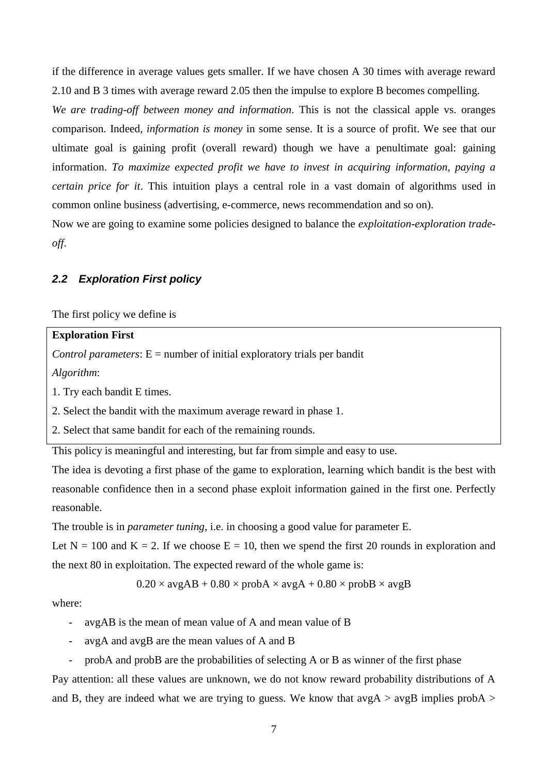if the difference in average values gets smaller. If we have chosen A 30 times with average reward 2.10 and B 3 times with average reward 2.05 then the impulse to explore B becomes compelling.

*We are trading-off between money and information*. This is not the classical apple vs. oranges comparison. Indeed, *information is money* in some sense. It is a source of profit. We see that our ultimate goal is gaining profit (overall reward) though we have a penultimate goal: gaining information. *To maximize expected profit we have to invest in acquiring information, paying a certain price for it*. This intuition plays a central role in a vast domain of algorithms used in common online business (advertising, e-commerce, news recommendation and so on).

Now we are going to examine some policies designed to balance the *exploitation-exploration tradeoff*.

### <span id="page-6-0"></span>*2.2 Exploration First policy*

The first policy we define is

#### **Exploration First**

*Control parameters*: E = number of initial exploratory trials per bandit

*Algorithm*:

1. Try each bandit E times.

2. Select the bandit with the maximum average reward in phase 1.

2. Select that same bandit for each of the remaining rounds.

This policy is meaningful and interesting, but far from simple and easy to use.

The idea is devoting a first phase of the game to exploration, learning which bandit is the best with reasonable confidence then in a second phase exploit information gained in the first one. Perfectly reasonable.

The trouble is in *parameter tuning*, i.e. in choosing a good value for parameter E.

Let  $N = 100$  and  $K = 2$ . If we choose  $E = 10$ , then we spend the first 20 rounds in exploration and the next 80 in exploitation. The expected reward of the whole game is:

 $0.20 \times avgAB + 0.80 \times probA \times avgA + 0.80 \times probB \times avgB$ 

where:

- avgAB is the mean of mean value of A and mean value of B
- avgA and avgB are the mean values of A and B
- probA and probB are the probabilities of selecting A or B as winner of the first phase

Pay attention: all these values are unknown, we do not know reward probability distributions of A and B, they are indeed what we are trying to guess. We know that  $avgA > avgB$  implies probA >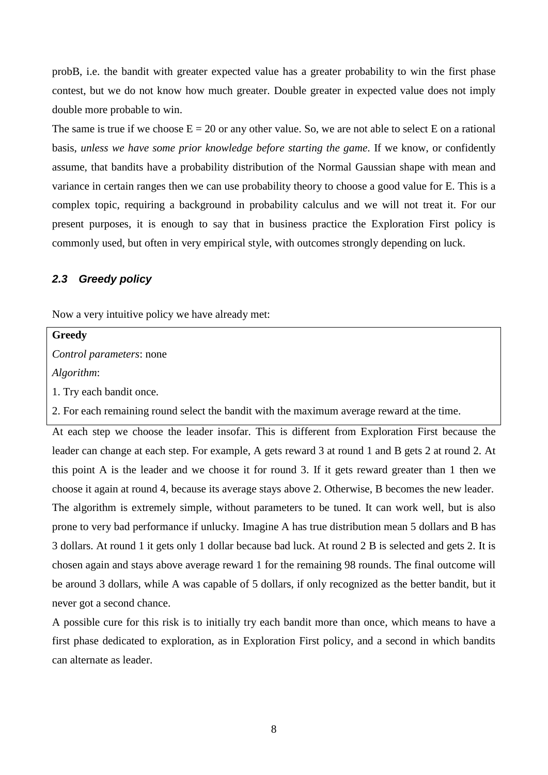probB, i.e. the bandit with greater expected value has a greater probability to win the first phase contest, but we do not know how much greater. Double greater in expected value does not imply double more probable to win.

The same is true if we choose  $E = 20$  or any other value. So, we are not able to select E on a rational basis, *unless we have some prior knowledge before starting the game*. If we know, or confidently assume, that bandits have a probability distribution of the Normal Gaussian shape with mean and variance in certain ranges then we can use probability theory to choose a good value for E. This is a complex topic, requiring a background in probability calculus and we will not treat it. For our present purposes, it is enough to say that in business practice the Exploration First policy is commonly used, but often in very empirical style, with outcomes strongly depending on luck.

### <span id="page-7-0"></span>*2.3 Greedy policy*

Now a very intuitive policy we have already met:

**Greedy**

*Control parameters*: none

*Algorithm*:

1. Try each bandit once.

2. For each remaining round select the bandit with the maximum average reward at the time.

At each step we choose the leader insofar. This is different from Exploration First because the leader can change at each step. For example, A gets reward 3 at round 1 and B gets 2 at round 2. At this point A is the leader and we choose it for round 3. If it gets reward greater than 1 then we choose it again at round 4, because its average stays above 2. Otherwise, B becomes the new leader. The algorithm is extremely simple, without parameters to be tuned. It can work well, but is also prone to very bad performance if unlucky. Imagine A has true distribution mean 5 dollars and B has 3 dollars. At round 1 it gets only 1 dollar because bad luck. At round 2 B is selected and gets 2. It is chosen again and stays above average reward 1 for the remaining 98 rounds. The final outcome will be around 3 dollars, while A was capable of 5 dollars, if only recognized as the better bandit, but it never got a second chance.

A possible cure for this risk is to initially try each bandit more than once, which means to have a first phase dedicated to exploration, as in Exploration First policy, and a second in which bandits can alternate as leader.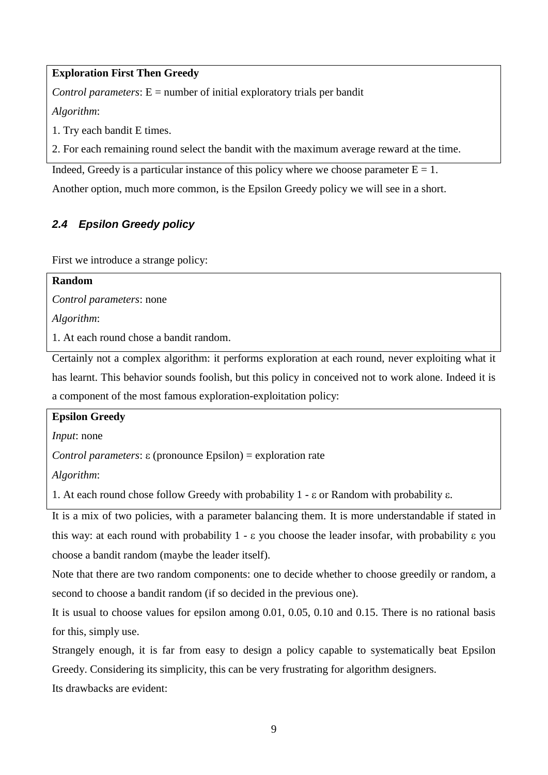## **Exploration First Then Greedy**

*Control parameters*:  $E =$  number of initial exploratory trials per bandit

*Algorithm*:

1. Try each bandit E times.

2. For each remaining round select the bandit with the maximum average reward at the time.

Indeed, Greedy is a particular instance of this policy where we choose parameter  $E = 1$ .

Another option, much more common, is the Epsilon Greedy policy we will see in a short.

## <span id="page-8-0"></span>*2.4 Epsilon Greedy policy*

First we introduce a strange policy:

| Random                          |  |
|---------------------------------|--|
| <i>Control parameters:</i> none |  |
| Algorithm:                      |  |

1. At each round chose a bandit random.

Certainly not a complex algorithm: it performs exploration at each round, never exploiting what it has learnt. This behavior sounds foolish, but this policy in conceived not to work alone. Indeed it is a component of the most famous exploration-exploitation policy:

### **Epsilon Greedy**

*Input*: none

*Control parameters*: ε (pronounce Epsilon) = exploration rate

*Algorithm*:

1. At each round chose follow Greedy with probability 1 -  $\varepsilon$  or Random with probability  $\varepsilon$ .

It is a mix of two policies, with a parameter balancing them. It is more understandable if stated in this way: at each round with probability  $1 - \varepsilon$  you choose the leader insofar, with probability  $\varepsilon$  you choose a bandit random (maybe the leader itself).

Note that there are two random components: one to decide whether to choose greedily or random, a second to choose a bandit random (if so decided in the previous one).

It is usual to choose values for epsilon among 0.01, 0.05, 0.10 and 0.15. There is no rational basis for this, simply use.

Strangely enough, it is far from easy to design a policy capable to systematically beat Epsilon Greedy. Considering its simplicity, this can be very frustrating for algorithm designers.

Its drawbacks are evident: